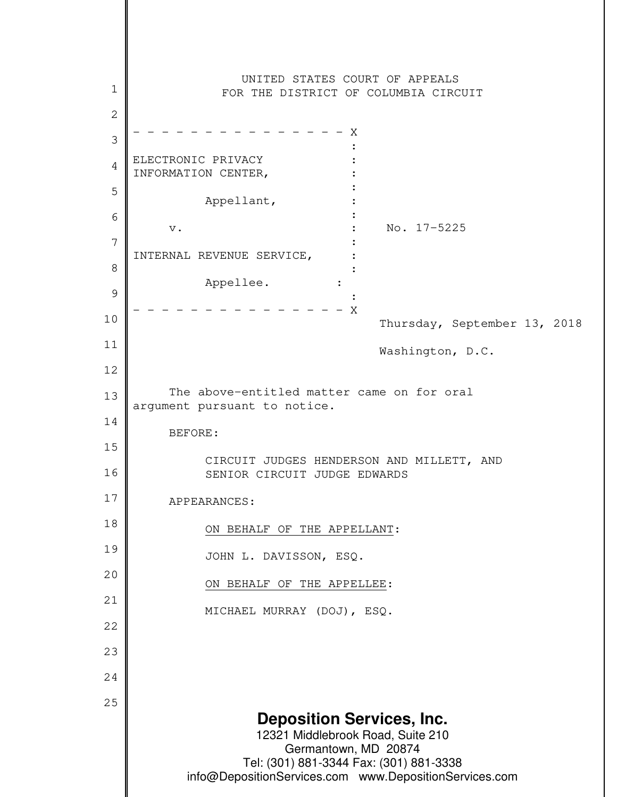**Deposition Services, Inc.** 12321 Middlebrook Road, Suite 210 Germantown, MD 20874 Tel: (301) 881-3344 Fax: (301) 881-3338 info@DepositionServices.com www.DepositionServices.com 1 2 3 4 5 6 7 8 9 10 11 12 13 14 15 16 17 18 19 20 21 22 23 24 25 UNITED STATES COURT OF APPEALS FOR THE DISTRICT OF COLUMBIA CIRCUIT  $- - - - - - - -$ **Example 2008** Control of the Control of the Control of the Control of the Control of the Control of the Control of ELECTRONIC PRIVACY : INFORMATION CENTER, **Example 2008** Control of the Control of the Control of the Control of the Control of the Control of the Control of Appellant, **Service State State State State** v. No. 17-5225 **Experimental Contract Contract Contract Contract Contract Contract Contract Contract Contract Contract Contract** INTERNAL REVENUE SERVICE, : **Example 2008** Control of the Control of the Control of the Control of the Control of the Control of the Control of Appellee. : **Example 2008** Control of the Control of the Control of the Control of the Control of the Control of the Control of  $- - - - - - X$  Thursday, September 13, 2018 Washington, D.C. The above-entitled matter came on for oral argument pursuant to notice. BEFORE: CIRCUIT JUDGES HENDERSON AND MILLETT, AND SENIOR CIRCUIT JUDGE EDWARDS APPEARANCES: ON BEHALF OF THE APPELLANT: JOHN L. DAVISSON, ESQ. ON BEHALF OF THE APPELLEE: MICHAEL MURRAY (DOJ), ESQ.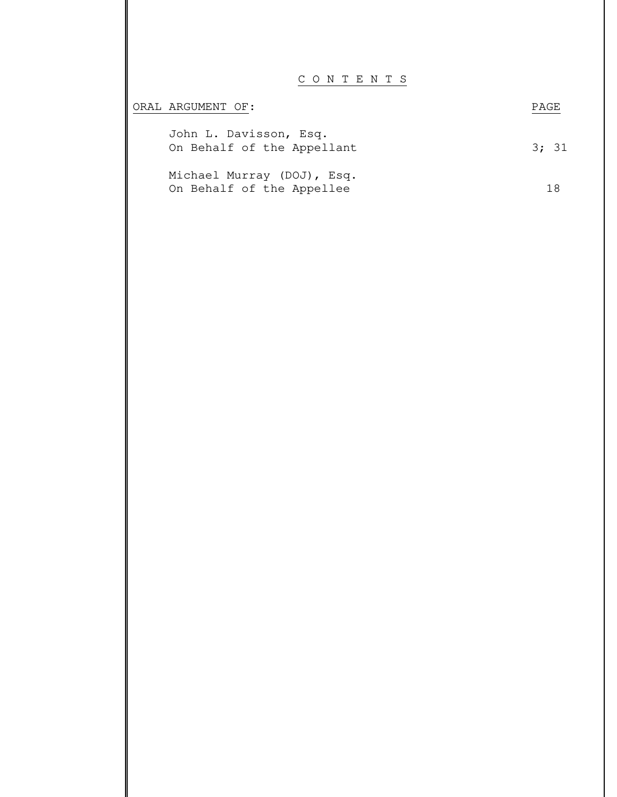## C O N T E N T S

| ORAL ARGUMENT OF:                                       | PAGE. |
|---------------------------------------------------------|-------|
| John L. Davisson, Esq.<br>On Behalf of the Appellant    | 3; 31 |
| Michael Murray (DOJ), Esq.<br>On Behalf of the Appellee |       |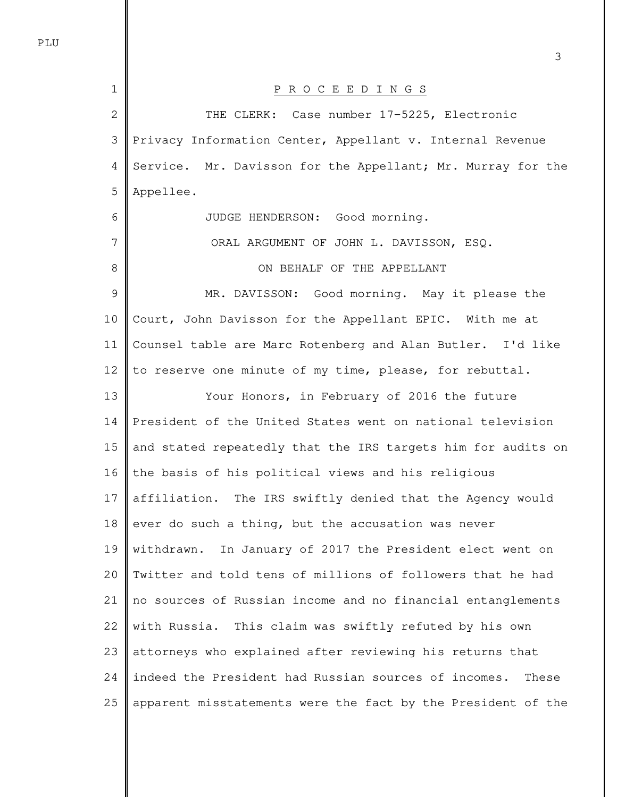| 1  | P R O C E E D I N G S                                         |
|----|---------------------------------------------------------------|
| 2  | THE CLERK: Case number 17-5225, Electronic                    |
| 3  | Privacy Information Center, Appellant v. Internal Revenue     |
| 4  | Service. Mr. Davisson for the Appellant; Mr. Murray for the   |
| 5  | Appellee.                                                     |
| 6  | JUDGE HENDERSON: Good morning.                                |
| 7  | ORAL ARGUMENT OF JOHN L. DAVISSON, ESQ.                       |
| 8  | ON BEHALF OF THE APPELLANT                                    |
| 9  | MR. DAVISSON: Good morning. May it please the                 |
| 10 | Court, John Davisson for the Appellant EPIC. With me at       |
| 11 | Counsel table are Marc Rotenberg and Alan Butler. I'd like    |
| 12 | to reserve one minute of my time, please, for rebuttal.       |
| 13 | Your Honors, in February of 2016 the future                   |
| 14 | President of the United States went on national television    |
| 15 | and stated repeatedly that the IRS targets him for audits on  |
| 16 | the basis of his political views and his religious            |
| 17 | affiliation. The IRS swiftly denied that the Agency would     |
| 18 | ever do such a thing, but the accusation was never            |
| 19 | withdrawn. In January of 2017 the President elect went on     |
| 20 | Twitter and told tens of millions of followers that he had    |
| 21 | no sources of Russian income and no financial entanglements   |
| 22 | with Russia. This claim was swiftly refuted by his own        |
| 23 | attorneys who explained after reviewing his returns that      |
| 24 | indeed the President had Russian sources of incomes.<br>These |
| 25 | apparent misstatements were the fact by the President of the  |

3

PLU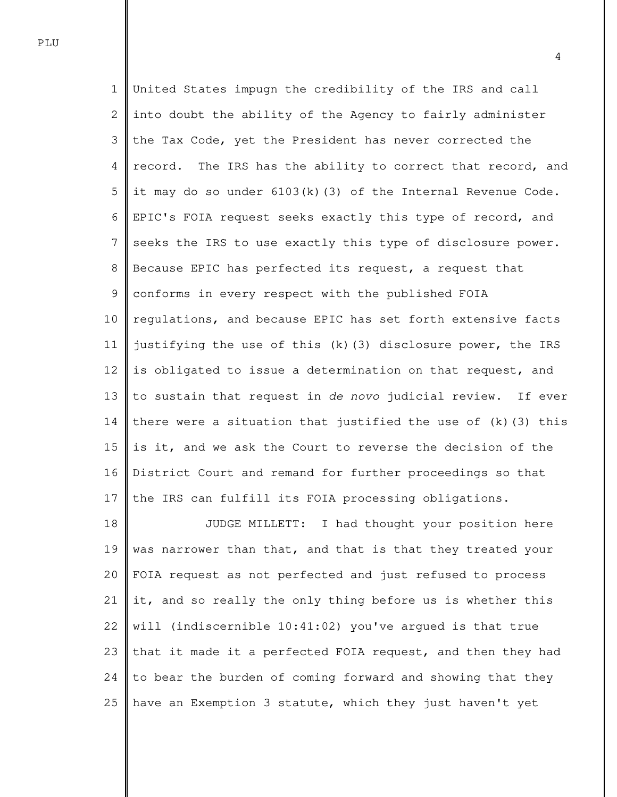1 2 3 4 5 6 7 8 9 10 11 12 13 14 15 16 17 United States impugn the credibility of the IRS and call into doubt the ability of the Agency to fairly administer the Tax Code, yet the President has never corrected the record. The IRS has the ability to correct that record, and it may do so under  $6103(k)(3)$  of the Internal Revenue Code. EPIC's FOIA request seeks exactly this type of record, and seeks the IRS to use exactly this type of disclosure power. Because EPIC has perfected its request, a request that conforms in every respect with the published FOIA regulations, and because EPIC has set forth extensive facts justifying the use of this (k)(3) disclosure power, the IRS is obligated to issue a determination on that request, and to sustain that request in de novo judicial review. If ever there were a situation that justified the use of  $(k)$  (3) this is it, and we ask the Court to reverse the decision of the District Court and remand for further proceedings so that the IRS can fulfill its FOIA processing obligations.

18 19 20 21 22 23 24 25 JUDGE MILLETT: I had thought your position here was narrower than that, and that is that they treated your FOIA request as not perfected and just refused to process it, and so really the only thing before us is whether this will (indiscernible 10:41:02) you've argued is that true that it made it a perfected FOIA request, and then they had to bear the burden of coming forward and showing that they have an Exemption 3 statute, which they just haven't yet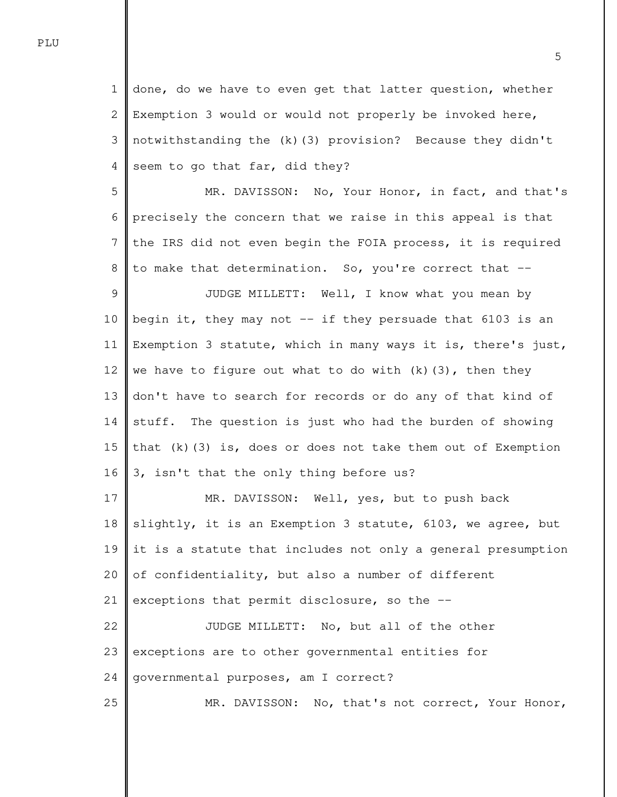1 2 3 4 done, do we have to even get that latter question, whether Exemption 3 would or would not properly be invoked here, notwithstanding the (k)(3) provision? Because they didn't seem to go that far, did they?

5 6 7 8 MR. DAVISSON: No, Your Honor, in fact, and that's precisely the concern that we raise in this appeal is that the IRS did not even begin the FOIA process, it is required to make that determination. So, you're correct that --

9 10 11 12 13 14 15 16 JUDGE MILLETT: Well, I know what you mean by begin it, they may not  $-$  if they persuade that 6103 is an Exemption 3 statute, which in many ways it is, there's just, we have to figure out what to do with  $(k)$  (3), then they don't have to search for records or do any of that kind of stuff. The question is just who had the burden of showing that  $(k)$  (3) is, does or does not take them out of Exemption 3, isn't that the only thing before us?

17 18 19 20 21 22 23 24 25 MR. DAVISSON: Well, yes, but to push back slightly, it is an Exemption 3 statute, 6103, we agree, but it is a statute that includes not only a general presumption of confidentiality, but also a number of different exceptions that permit disclosure, so the -- JUDGE MILLETT: No, but all of the other exceptions are to other governmental entities for governmental purposes, am I correct? MR. DAVISSON: No, that's not correct, Your Honor,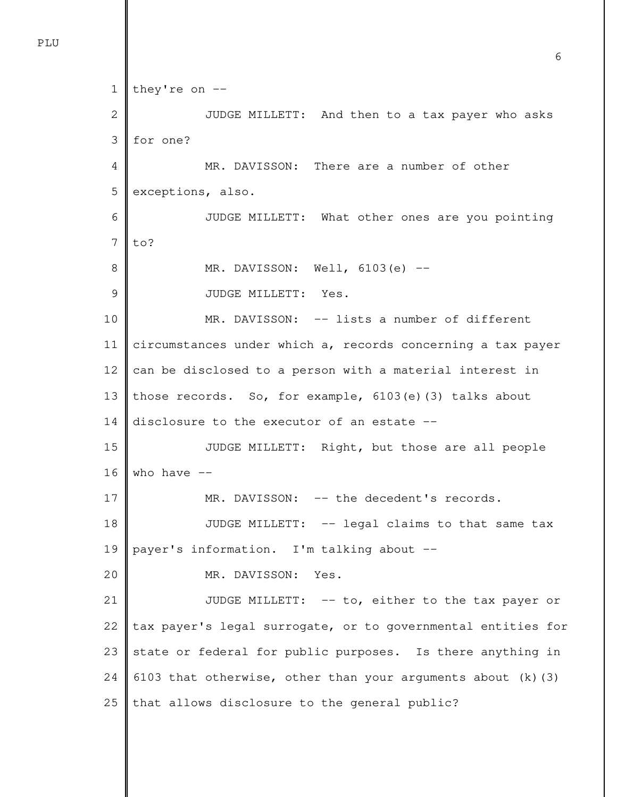```
1
 2
 3
 4
 5
 6
 7
 8
 9
10
11
12
13
14
15
16
17
18
19
20
21
22
23
24
25
   they're on -- 
               JUDGE MILLETT: And then to a tax payer who asks 
    for one? 
               MR. DAVISSON: There are a number of other 
   exceptions, also. 
               JUDGE MILLETT: What other ones are you pointing 
   to? 
              MR. DAVISSON: Well, 6103(e) --
               JUDGE MILLETT: Yes. 
              MR. DAVISSON: -- lists a number of different
    circumstances under which a, records concerning a tax payer 
    can be disclosed to a person with a material interest in 
   those records. So, for example, 6103(e)(3) talks about 
    disclosure to the executor of an estate --
               JUDGE MILLETT: Right, but those are all people 
   who have --MR. DAVISSON: -- the decedent's records.
               JUDGE MILLETT: -- legal claims to that same tax 
   payer's information. I'm talking about -- 
               MR. DAVISSON: Yes. 
              JUDGE MILLETT: -- to, either to the tax payer or
    tax payer's legal surrogate, or to governmental entities for 
    state or federal for public purposes. Is there anything in 
    6103 that otherwise, other than your arguments about (k) (3)
   that allows disclosure to the general public?
```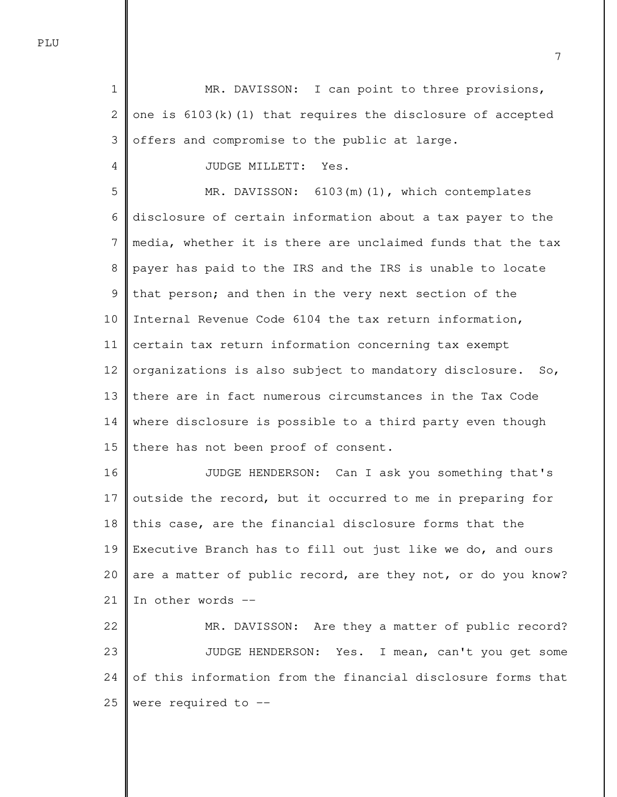1 2 3 MR. DAVISSON: I can point to three provisions, one is  $6103(k)(1)$  that requires the disclosure of accepted offers and compromise to the public at large.

JUDGE MILLETT: Yes.

5 6 7 8 9 10 11 12 13 14 15 MR. DAVISSON: 6103(m)(1), which contemplates disclosure of certain information about a tax payer to the media, whether it is there are unclaimed funds that the tax payer has paid to the IRS and the IRS is unable to locate that person; and then in the very next section of the Internal Revenue Code 6104 the tax return information, certain tax return information concerning tax exempt organizations is also subject to mandatory disclosure. So, there are in fact numerous circumstances in the Tax Code where disclosure is possible to a third party even though there has not been proof of consent.

16 17 18 19 20 21 JUDGE HENDERSON: Can I ask you something that's outside the record, but it occurred to me in preparing for this case, are the financial disclosure forms that the Executive Branch has to fill out just like we do, and ours are a matter of public record, are they not, or do you know? In other words --

22 23 24 25 MR. DAVISSON: Are they a matter of public record? JUDGE HENDERSON: Yes. I mean, can't you get some of this information from the financial disclosure forms that were required to --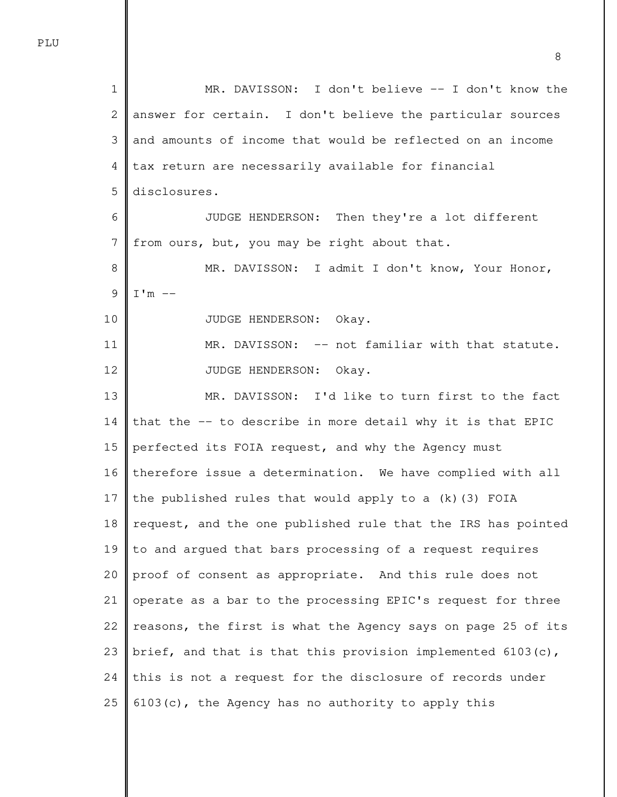1 2 3 4 5 6 7 8 9 10 11 12 13 14 15 16 17 18 19 20 21 22 23 24 25 MR. DAVISSON: I don't believe -- I don't know the answer for certain. I don't believe the particular sources and amounts of income that would be reflected on an income tax return are necessarily available for financial disclosures. JUDGE HENDERSON: Then they're a lot different from ours, but, you may be right about that. MR. DAVISSON: I admit I don't know, Your Honor,  $I'm$  -- JUDGE HENDERSON: Okay. MR. DAVISSON: -- not familiar with that statute. JUDGE HENDERSON: Okay. MR. DAVISSON: I'd like to turn first to the fact that the -- to describe in more detail why it is that EPIC perfected its FOIA request, and why the Agency must therefore issue a determination. We have complied with all the published rules that would apply to a (k)(3) FOIA request, and the one published rule that the IRS has pointed to and argued that bars processing of a request requires proof of consent as appropriate. And this rule does not operate as a bar to the processing EPIC's request for three reasons, the first is what the Agency says on page 25 of its brief, and that is that this provision implemented 6103(c), this is not a request for the disclosure of records under 6103(c), the Agency has no authority to apply this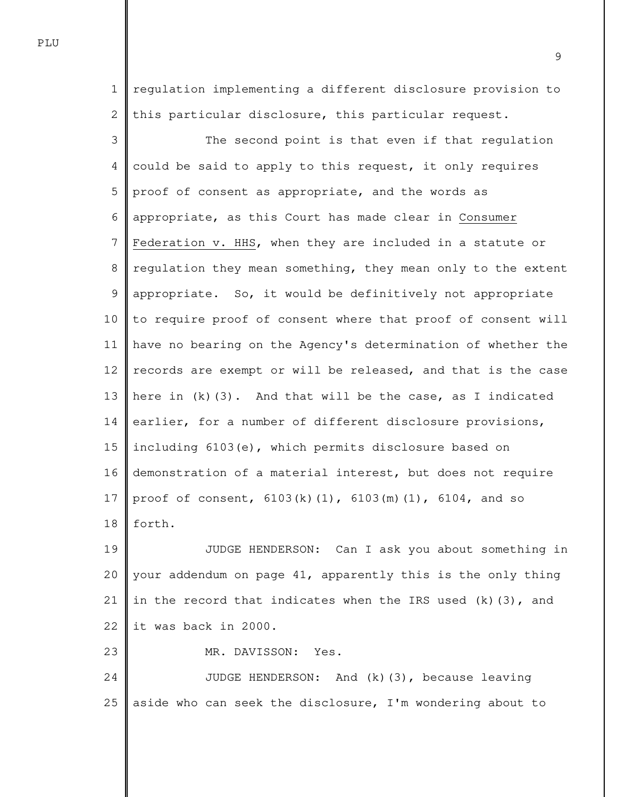1 2 regulation implementing a different disclosure provision to this particular disclosure, this particular request.

3 4 5 6 7 8 9 10 11 12 13 14 15 16 17 18 The second point is that even if that regulation could be said to apply to this request, it only requires proof of consent as appropriate, and the words as appropriate, as this Court has made clear in Consumer Federation v. HHS, when they are included in a statute or regulation they mean something, they mean only to the extent appropriate. So, it would be definitively not appropriate to require proof of consent where that proof of consent will have no bearing on the Agency's determination of whether the records are exempt or will be released, and that is the case here in  $(k)(3)$ . And that will be the case, as I indicated earlier, for a number of different disclosure provisions, including 6103(e), which permits disclosure based on demonstration of a material interest, but does not require proof of consent, 6103(k)(1), 6103(m)(1), 6104, and so forth.

19 20 21 22 JUDGE HENDERSON: Can I ask you about something in your addendum on page 41, apparently this is the only thing in the record that indicates when the IRS used  $(k)(3)$ , and it was back in 2000.

MR. DAVISSON: Yes.

23

24 25 JUDGE HENDERSON: And (k)(3), because leaving aside who can seek the disclosure, I'm wondering about to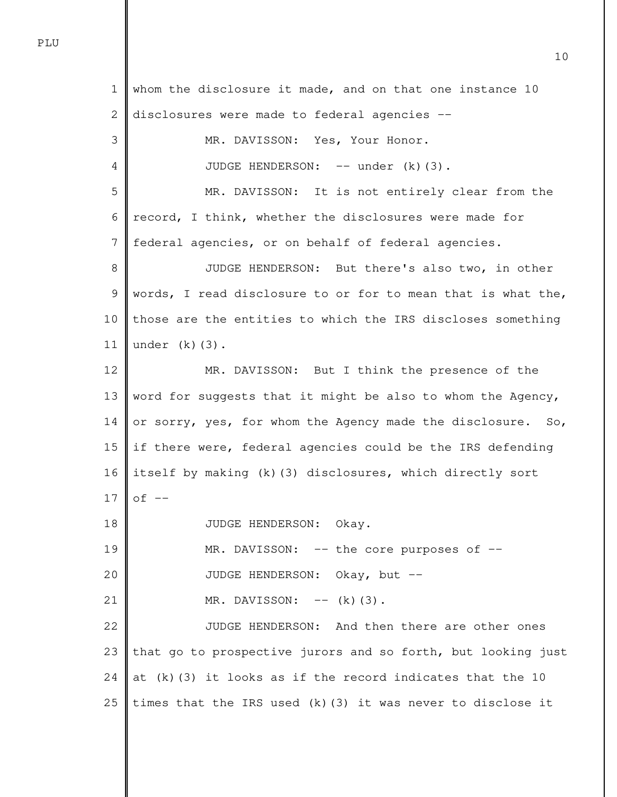1 2 3 4 5 6 7 8 9 10 11 12 13 14 15 16 17 18 19 20 21 22 23 24 25 whom the disclosure it made, and on that one instance 10 disclosures were made to federal agencies -- MR. DAVISSON: Yes, Your Honor. JUDGE HENDERSON: -- under (k)(3). MR. DAVISSON: It is not entirely clear from the record, I think, whether the disclosures were made for federal agencies, or on behalf of federal agencies. JUDGE HENDERSON: But there's also two, in other words, I read disclosure to or for to mean that is what the, those are the entities to which the IRS discloses something under  $(k)(3)$ . MR. DAVISSON: But I think the presence of the word for suggests that it might be also to whom the Agency, or sorry, yes, for whom the Agency made the disclosure. So, if there were, federal agencies could be the IRS defending itself by making (k)(3) disclosures, which directly sort  $of --$  JUDGE HENDERSON: Okay. MR. DAVISSON: -- the core purposes of -- JUDGE HENDERSON: Okay, but --  $MR.$  DAVISSON:  $-- (k)(3)$ . JUDGE HENDERSON: And then there are other ones that go to prospective jurors and so forth, but looking just at  $(k)$  (3) it looks as if the record indicates that the 10 times that the IRS used (k)(3) it was never to disclose it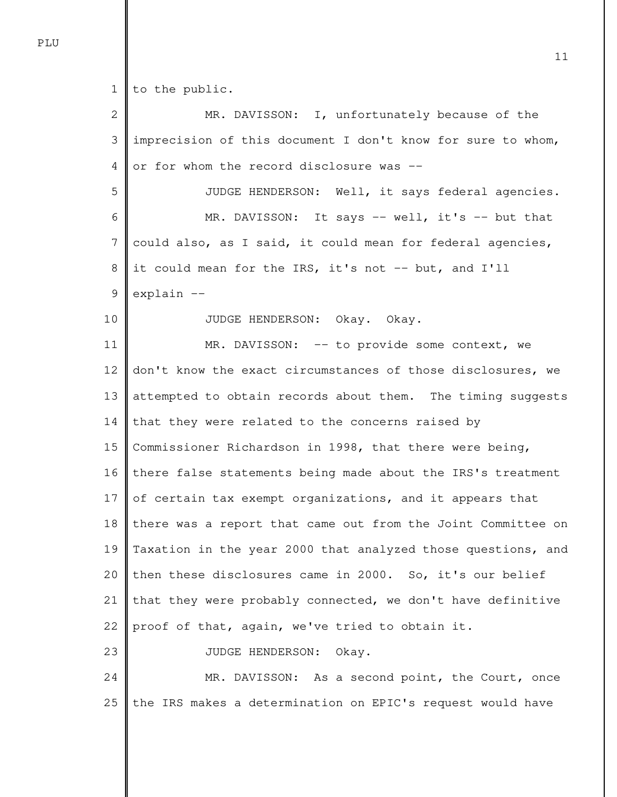1 to the public.

2 3 4 5 6 7 8 9 10 11 12 13 14 15 16 17 18 19 20 21 22 23 24 25 MR. DAVISSON: I, unfortunately because of the imprecision of this document I don't know for sure to whom, or for whom the record disclosure was -- JUDGE HENDERSON: Well, it says federal agencies. MR. DAVISSON: It says -- well, it's -- but that could also, as I said, it could mean for federal agencies, it could mean for the IRS, it's not -- but, and I'll explain -- JUDGE HENDERSON: Okay. Okay. MR. DAVISSON: -- to provide some context, we don't know the exact circumstances of those disclosures, we attempted to obtain records about them. The timing suggests that they were related to the concerns raised by Commissioner Richardson in 1998, that there were being, there false statements being made about the IRS's treatment of certain tax exempt organizations, and it appears that there was a report that came out from the Joint Committee on Taxation in the year 2000 that analyzed those questions, and then these disclosures came in 2000. So, it's our belief that they were probably connected, we don't have definitive proof of that, again, we've tried to obtain it. JUDGE HENDERSON: Okay. MR. DAVISSON: As a second point, the Court, once the IRS makes a determination on EPIC's request would have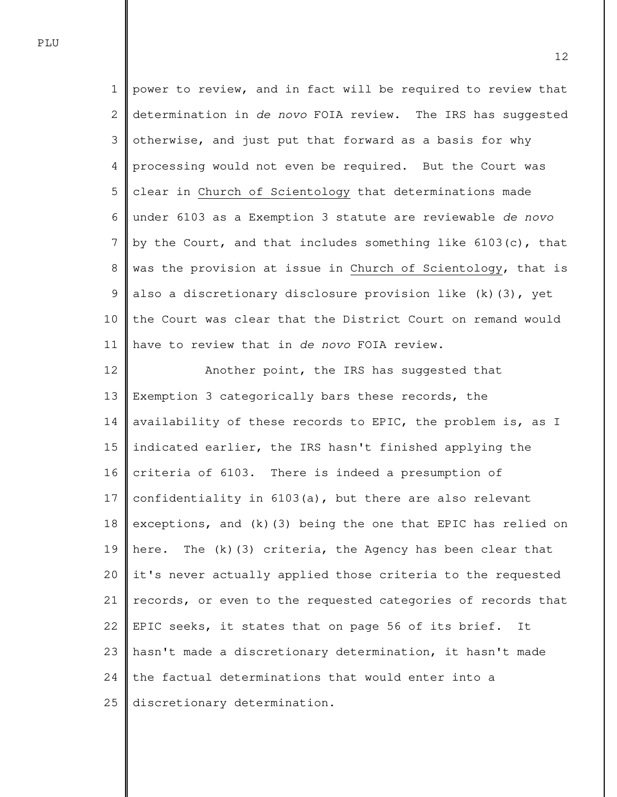1 2 3 4 5 6 7 8 9 10 11 power to review, and in fact will be required to review that determination in de novo FOIA review. The IRS has suggested otherwise, and just put that forward as a basis for why processing would not even be required. But the Court was clear in Church of Scientology that determinations made under 6103 as a Exemption 3 statute are reviewable de novo by the Court, and that includes something like 6103(c), that was the provision at issue in Church of Scientology, that is also a discretionary disclosure provision like (k)(3), yet the Court was clear that the District Court on remand would have to review that in de novo FOIA review.

12 13 14 15 16 17 18 19 20 21 22 23 24 25 Another point, the IRS has suggested that Exemption 3 categorically bars these records, the availability of these records to EPIC, the problem is, as I indicated earlier, the IRS hasn't finished applying the criteria of 6103. There is indeed a presumption of confidentiality in 6103(a), but there are also relevant exceptions, and (k)(3) being the one that EPIC has relied on here. The (k)(3) criteria, the Agency has been clear that it's never actually applied those criteria to the requested records, or even to the requested categories of records that EPIC seeks, it states that on page 56 of its brief. It hasn't made a discretionary determination, it hasn't made the factual determinations that would enter into a discretionary determination.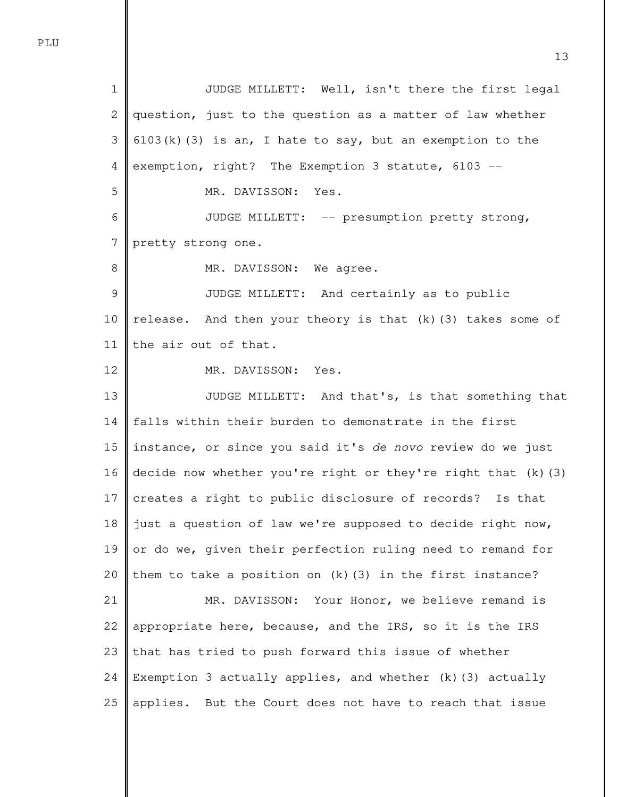1 2 3 4 5 6 7 8 9 10 11 12 13 14 15 16 17 18 19 20 21 22 23 JUDGE MILLETT: Well, isn't there the first legal question, just to the question as a matter of law whether  $6103(k)(3)$  is an, I hate to say, but an exemption to the exemption, right? The Exemption 3 statute, 6103 -- MR. DAVISSON: Yes. JUDGE MILLETT: -- presumption pretty strong, pretty strong one. MR. DAVISSON: We agree. JUDGE MILLETT: And certainly as to public release. And then your theory is that  $(k)$  (3) takes some of the air out of that. MR. DAVISSON: Yes. JUDGE MILLETT: And that's, is that something that falls within their burden to demonstrate in the first instance, or since you said it's de novo review do we just decide now whether you're right or they're right that (k)(3) creates a right to public disclosure of records? Is that just a question of law we're supposed to decide right now, or do we, given their perfection ruling need to remand for them to take a position on (k)(3) in the first instance? MR. DAVISSON: Your Honor, we believe remand is appropriate here, because, and the IRS, so it is the IRS that has tried to push forward this issue of whether

24 25 Exemption 3 actually applies, and whether (k)(3) actually applies. But the Court does not have to reach that issue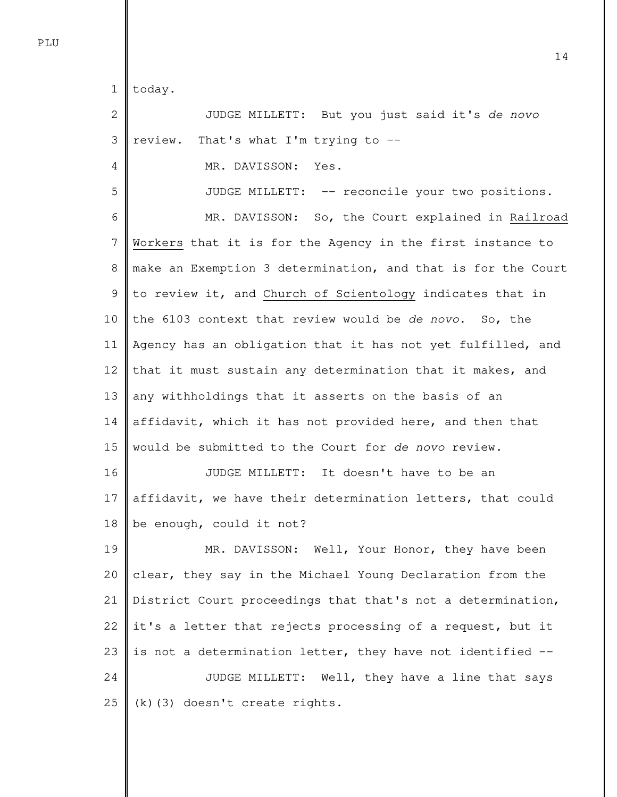1 today.

4

5

2 3 JUDGE MILLETT: But you just said it's de novo review. That's what I'm trying to --

MR. DAVISSON: Yes.

JUDGE MILLETT: -- reconcile your two positions.

6 7 8 9 10 11 12 13 14 15 16 17 MR. DAVISSON: So, the Court explained in Railroad Workers that it is for the Agency in the first instance to make an Exemption 3 determination, and that is for the Court to review it, and Church of Scientology indicates that in the 6103 context that review would be de novo. So, the Agency has an obligation that it has not yet fulfilled, and that it must sustain any determination that it makes, and any withholdings that it asserts on the basis of an affidavit, which it has not provided here, and then that would be submitted to the Court for de novo review. JUDGE MILLETT: It doesn't have to be an affidavit, we have their determination letters, that could

18 be enough, could it not?

19 20 21 22 23 24 25 MR. DAVISSON: Well, Your Honor, they have been clear, they say in the Michael Young Declaration from the District Court proceedings that that's not a determination, it's a letter that rejects processing of a request, but it is not a determination letter, they have not identified -- JUDGE MILLETT: Well, they have a line that says (k)(3) doesn't create rights.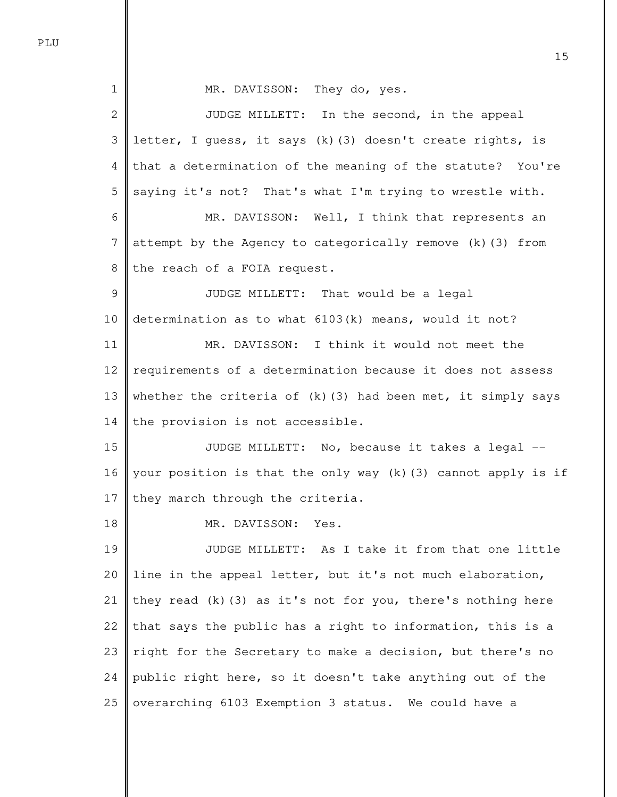1 2 3 4 5 6 7 8 9 10 11 12 13 14 15 16 17 18 19 20 21 22 23 24 25 MR. DAVISSON: They do, yes. JUDGE MILLETT: In the second, in the appeal letter, I guess, it says (k)(3) doesn't create rights, is that a determination of the meaning of the statute? You're saying it's not? That's what I'm trying to wrestle with. MR. DAVISSON: Well, I think that represents an attempt by the Agency to categorically remove (k)(3) from the reach of a FOIA request. JUDGE MILLETT: That would be a legal determination as to what 6103(k) means, would it not? MR. DAVISSON: I think it would not meet the requirements of a determination because it does not assess whether the criteria of  $(k)$  (3) had been met, it simply says the provision is not accessible. JUDGE MILLETT: No, because it takes a legal - your position is that the only way (k)(3) cannot apply is if they march through the criteria. MR. DAVISSON: Yes. JUDGE MILLETT: As I take it from that one little line in the appeal letter, but it's not much elaboration, they read  $(k)$  (3) as it's not for you, there's nothing here that says the public has a right to information, this is a right for the Secretary to make a decision, but there's no public right here, so it doesn't take anything out of the overarching 6103 Exemption 3 status. We could have a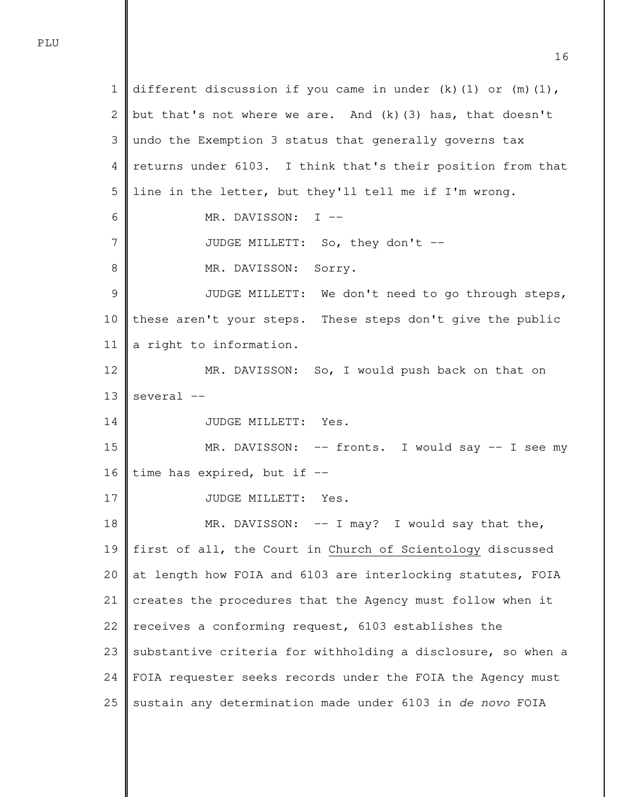1 2 3 4 5 6 7 8 9 10 11 12 13 14 15 16 17 18 19 20 21 22 23 24 25 different discussion if you came in under  $(k)$  (1) or  $(m)$  (1), but that's not where we are. And (k)(3) has, that doesn't undo the Exemption 3 status that generally governs tax returns under 6103. I think that's their position from that line in the letter, but they'll tell me if I'm wrong. MR. DAVISSON: I -- JUDGE MILLETT: So, they don't -- MR. DAVISSON: Sorry. JUDGE MILLETT: We don't need to go through steps, these aren't your steps. These steps don't give the public a right to information. MR. DAVISSON: So, I would push back on that on several -- JUDGE MILLETT: Yes. MR. DAVISSON: -- fronts. I would say -- I see my time has expired, but if -- JUDGE MILLETT: Yes. MR. DAVISSON: -- I may? I would say that the, first of all, the Court in Church of Scientology discussed at length how FOIA and 6103 are interlocking statutes, FOIA creates the procedures that the Agency must follow when it receives a conforming request, 6103 establishes the substantive criteria for withholding a disclosure, so when a FOIA requester seeks records under the FOIA the Agency must sustain any determination made under 6103 in de novo FOIA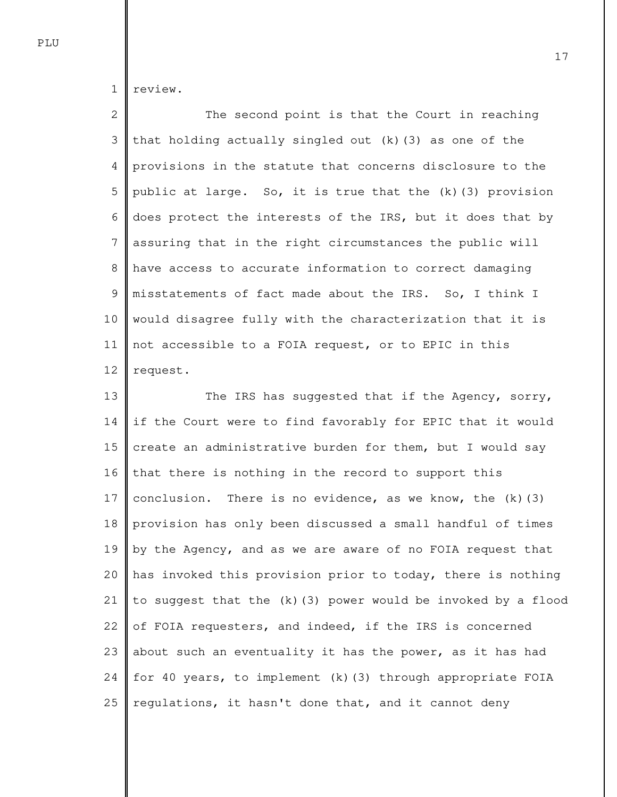1 review.

2 3 4 5 6 7 8 9 10 11 12 The second point is that the Court in reaching that holding actually singled out  $(k)(3)$  as one of the provisions in the statute that concerns disclosure to the public at large. So, it is true that the (k)(3) provision does protect the interests of the IRS, but it does that by assuring that in the right circumstances the public will have access to accurate information to correct damaging misstatements of fact made about the IRS. So, I think I would disagree fully with the characterization that it is not accessible to a FOIA request, or to EPIC in this request.

13 14 15 16 17 18 19 20 21 22 23 24 25 The IRS has suggested that if the Agency, sorry, if the Court were to find favorably for EPIC that it would create an administrative burden for them, but I would say that there is nothing in the record to support this conclusion. There is no evidence, as we know, the  $(k)$  (3) provision has only been discussed a small handful of times by the Agency, and as we are aware of no FOIA request that has invoked this provision prior to today, there is nothing to suggest that the (k)(3) power would be invoked by a flood of FOIA requesters, and indeed, if the IRS is concerned about such an eventuality it has the power, as it has had for 40 years, to implement (k)(3) through appropriate FOIA regulations, it hasn't done that, and it cannot deny

PLU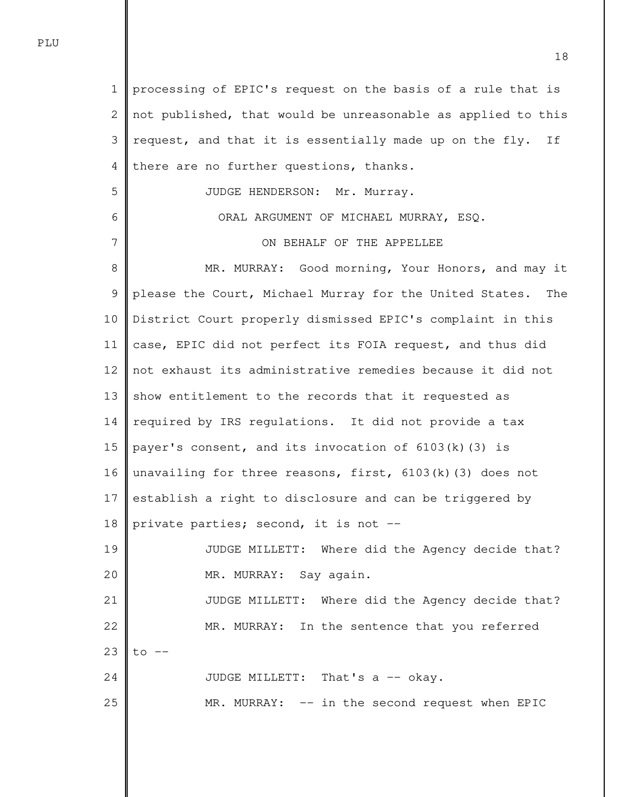1 2 3 4 5 6 7 8 9 10 11 12 13 14 15 16 17 18 19 20 21 22 23 24 25 processing of EPIC's request on the basis of a rule that is not published, that would be unreasonable as applied to this request, and that it is essentially made up on the fly. If there are no further questions, thanks. JUDGE HENDERSON: Mr. Murray. ORAL ARGUMENT OF MICHAEL MURRAY, ESQ. ON BEHALF OF THE APPELLEE MR. MURRAY: Good morning, Your Honors, and may it please the Court, Michael Murray for the United States. The District Court properly dismissed EPIC's complaint in this case, EPIC did not perfect its FOIA request, and thus did not exhaust its administrative remedies because it did not show entitlement to the records that it requested as required by IRS regulations. It did not provide a tax payer's consent, and its invocation of 6103(k)(3) is unavailing for three reasons, first,  $6103(k)(3)$  does not establish a right to disclosure and can be triggered by private parties; second, it is not -- JUDGE MILLETT: Where did the Agency decide that? MR. MURRAY: Say again. JUDGE MILLETT: Where did the Agency decide that? MR. MURRAY: In the sentence that you referred  $to$   $--$ JUDGE MILLETT: That's a -- okay. MR. MURRAY: -- in the second request when EPIC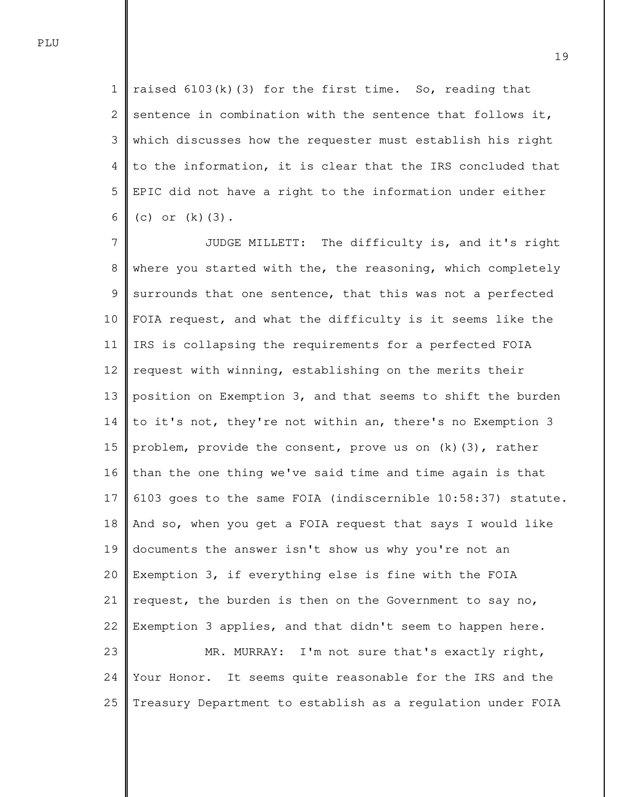1 2 3 4 5 6 raised  $6103(k)(3)$  for the first time. So, reading that sentence in combination with the sentence that follows it, which discusses how the requester must establish his right to the information, it is clear that the IRS concluded that EPIC did not have a right to the information under either (c) or  $(k)(3)$ .

7 8 9 10 11 12 13 14 15 16 17 18 19 20 21 22 23 24 25 JUDGE MILLETT: The difficulty is, and it's right where you started with the, the reasoning, which completely surrounds that one sentence, that this was not a perfected FOIA request, and what the difficulty is it seems like the IRS is collapsing the requirements for a perfected FOIA request with winning, establishing on the merits their position on Exemption 3, and that seems to shift the burden to it's not, they're not within an, there's no Exemption 3 problem, provide the consent, prove us on (k)(3), rather than the one thing we've said time and time again is that 6103 goes to the same FOIA (indiscernible 10:58:37) statute. And so, when you get a FOIA request that says I would like documents the answer isn't show us why you're not an Exemption 3, if everything else is fine with the FOIA request, the burden is then on the Government to say no, Exemption 3 applies, and that didn't seem to happen here. MR. MURRAY: I'm not sure that's exactly right, Your Honor. It seems quite reasonable for the IRS and the Treasury Department to establish as a regulation under FOIA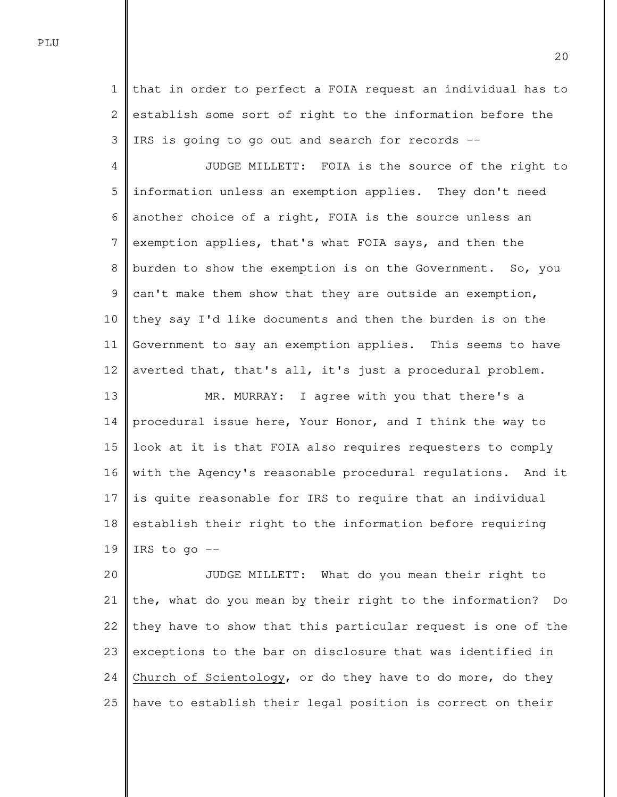1 2 3 that in order to perfect a FOIA request an individual has to establish some sort of right to the information before the IRS is going to go out and search for records --

4 5 6 7 8 9 10 11 12 13 JUDGE MILLETT: FOIA is the source of the right to information unless an exemption applies. They don't need another choice of a right, FOIA is the source unless an exemption applies, that's what FOIA says, and then the burden to show the exemption is on the Government. So, you can't make them show that they are outside an exemption, they say I'd like documents and then the burden is on the Government to say an exemption applies. This seems to have averted that, that's all, it's just a procedural problem. MR. MURRAY: I agree with you that there's a

14 15 16 17 18 19 procedural issue here, Your Honor, and I think the way to look at it is that FOIA also requires requesters to comply with the Agency's reasonable procedural regulations. And it is quite reasonable for IRS to require that an individual establish their right to the information before requiring IRS to go  $-$ 

20 21 22 23 24 25 JUDGE MILLETT: What do you mean their right to the, what do you mean by their right to the information? Do they have to show that this particular request is one of the exceptions to the bar on disclosure that was identified in Church of Scientology, or do they have to do more, do they have to establish their legal position is correct on their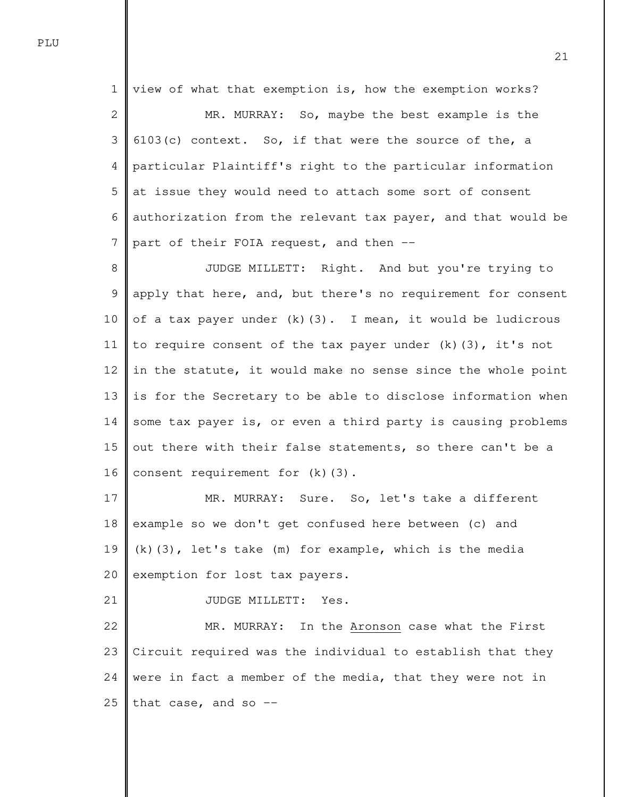1 2 3 4 5 6 7 view of what that exemption is, how the exemption works? MR. MURRAY: So, maybe the best example is the 6103(c) context. So, if that were the source of the, a particular Plaintiff's right to the particular information at issue they would need to attach some sort of consent authorization from the relevant tax payer, and that would be part of their FOIA request, and then --

8 9 10 11 12 13 14 15 16 JUDGE MILLETT: Right. And but you're trying to apply that here, and, but there's no requirement for consent of a tax payer under  $(k)(3)$ . I mean, it would be ludicrous to require consent of the tax payer under  $(k)(3)$ , it's not in the statute, it would make no sense since the whole point is for the Secretary to be able to disclose information when some tax payer is, or even a third party is causing problems out there with their false statements, so there can't be a consent requirement for (k)(3).

17 18 19 20 MR. MURRAY: Sure. So, let's take a different example so we don't get confused here between (c) and (k)(3), let's take (m) for example, which is the media exemption for lost tax payers.

21 JUDGE MILLETT: Yes.

22 23 24 25 MR. MURRAY: In the Aronson case what the First Circuit required was the individual to establish that they were in fact a member of the media, that they were not in that case, and so  $-$ -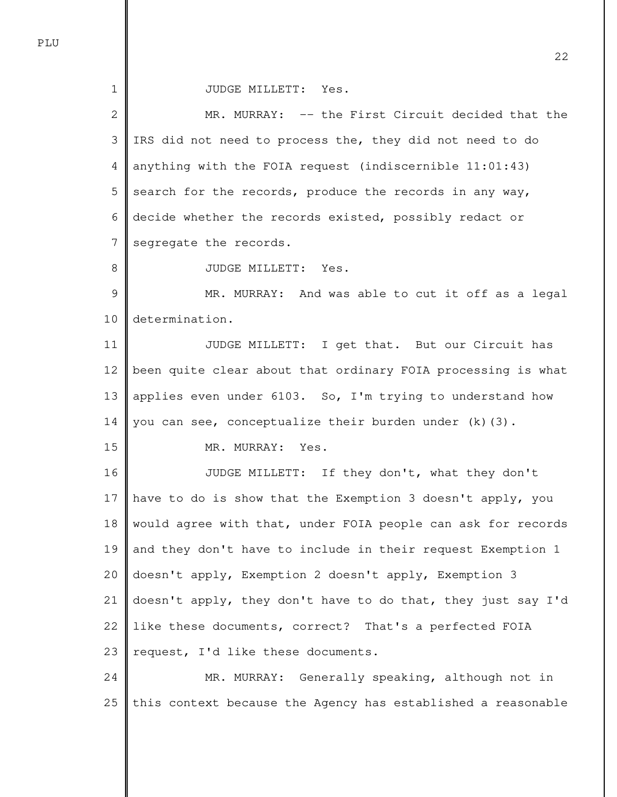JUDGE MILLETT: Yes.

2 3 4 5 6 7 8 9 10 11 12 13 14 15 16 17 18 19 20 21 22 23 24 25 MR. MURRAY: -- the First Circuit decided that the IRS did not need to process the, they did not need to do anything with the FOIA request (indiscernible 11:01:43) search for the records, produce the records in any way, decide whether the records existed, possibly redact or segregate the records. JUDGE MILLETT: Yes. MR. MURRAY: And was able to cut it off as a legal determination. JUDGE MILLETT: I get that. But our Circuit has been quite clear about that ordinary FOIA processing is what applies even under 6103. So, I'm trying to understand how you can see, conceptualize their burden under  $(k)(3)$ . MR. MURRAY: Yes. JUDGE MILLETT: If they don't, what they don't have to do is show that the Exemption 3 doesn't apply, you would agree with that, under FOIA people can ask for records and they don't have to include in their request Exemption 1 doesn't apply, Exemption 2 doesn't apply, Exemption 3 doesn't apply, they don't have to do that, they just say I'd like these documents, correct? That's a perfected FOIA request, I'd like these documents. MR. MURRAY: Generally speaking, although not in this context because the Agency has established a reasonable

PLU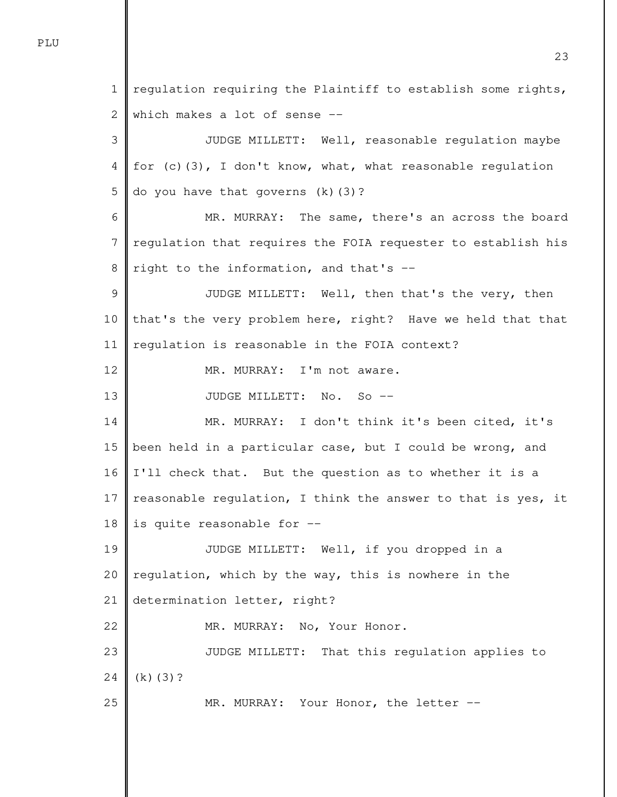1

2 3 4 5 6 7 8 9 10 11 12 13 14 15 16 17 18 19 20 21 22 23 24 25 which makes a lot of sense -- JUDGE MILLETT: Well, reasonable regulation maybe for (c)(3), I don't know, what, what reasonable regulation do you have that governs (k)(3)? MR. MURRAY: The same, there's an across the board regulation that requires the FOIA requester to establish his right to the information, and that's -- JUDGE MILLETT: Well, then that's the very, then that's the very problem here, right? Have we held that that regulation is reasonable in the FOIA context? MR. MURRAY: I'm not aware. JUDGE MILLETT: No. So -- MR. MURRAY: I don't think it's been cited, it's been held in a particular case, but I could be wrong, and I'll check that. But the question as to whether it is a reasonable regulation, I think the answer to that is yes, it is quite reasonable for -- JUDGE MILLETT: Well, if you dropped in a regulation, which by the way, this is nowhere in the determination letter, right? MR. MURRAY: No, Your Honor. JUDGE MILLETT: That this regulation applies to (k)(3)? MR. MURRAY: Your Honor, the letter --

regulation requiring the Plaintiff to establish some rights,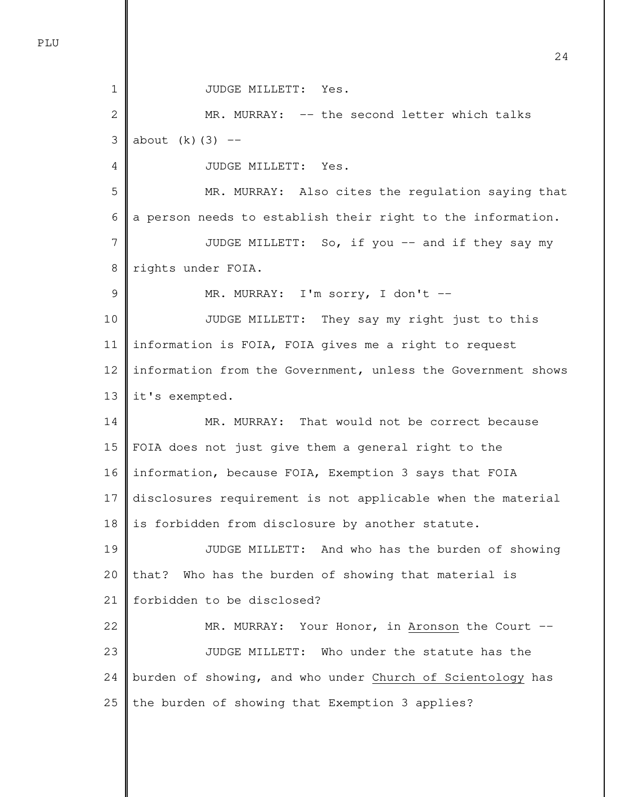| $\mathbf 1$  | JUDGE MILLETT: Yes.                                          |
|--------------|--------------------------------------------------------------|
| $\mathbf{2}$ | MR. MURRAY: -- the second letter which talks                 |
| 3            | about $(k)$ (3) --                                           |
| 4            | JUDGE MILLETT: Yes.                                          |
| 5            | MR. MURRAY: Also cites the regulation saying that            |
| 6            | a person needs to establish their right to the information.  |
| 7            | JUDGE MILLETT: So, if you -- and if they say my              |
| 8            | rights under FOIA.                                           |
| 9            | MR. MURRAY: I'm sorry, I don't --                            |
| 10           | JUDGE MILLETT: They say my right just to this                |
| 11           | information is FOIA, FOIA gives me a right to request        |
| 12           | information from the Government, unless the Government shows |
| 13           | it's exempted.                                               |
| 14           | MR. MURRAY: That would not be correct because                |
| 15           | FOIA does not just give them a general right to the          |
| 16           | information, because FOIA, Exemption 3 says that FOIA        |
| 17           | disclosures requirement is not applicable when the material  |
| 18           | is forbidden from disclosure by another statute.             |
| 19           | JUDGE MILLETT: And who has the burden of showing             |
| 20           | Who has the burden of showing that material is<br>that?      |
| 21           | forbidden to be disclosed?                                   |
| 22           | MR. MURRAY: Your Honor, in Aronson the Court --              |
| 23           | JUDGE MILLETT: Who under the statute has the                 |
| 24           | burden of showing, and who under Church of Scientology has   |
| 25           | the burden of showing that Exemption 3 applies?              |

PLU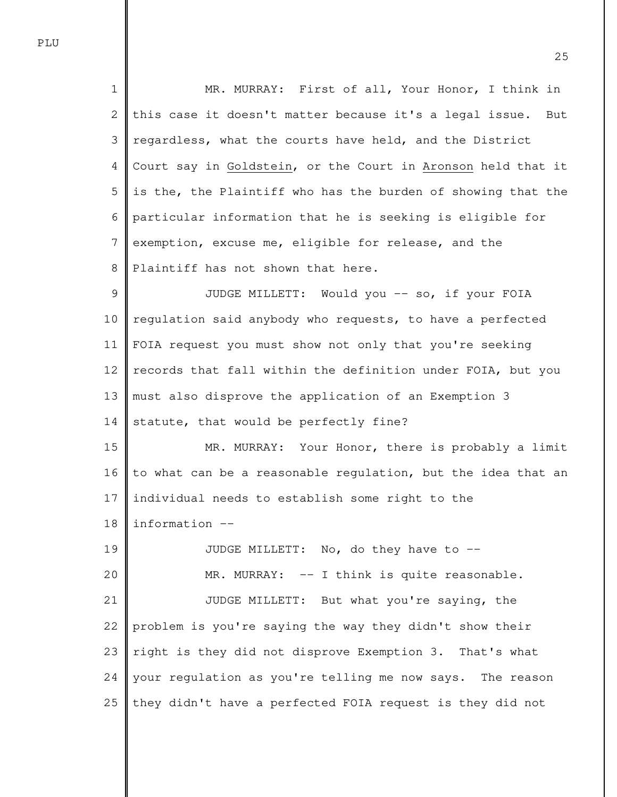1 2 3 4 5 6 7 8 MR. MURRAY: First of all, Your Honor, I think in this case it doesn't matter because it's a legal issue. But regardless, what the courts have held, and the District Court say in Goldstein, or the Court in Aronson held that it is the, the Plaintiff who has the burden of showing that the particular information that he is seeking is eligible for exemption, excuse me, eligible for release, and the Plaintiff has not shown that here.

9 10 11 12 13 14 JUDGE MILLETT: Would you -- so, if your FOIA regulation said anybody who requests, to have a perfected FOIA request you must show not only that you're seeking records that fall within the definition under FOIA, but you must also disprove the application of an Exemption 3 statute, that would be perfectly fine?

15 16 17 18 MR. MURRAY: Your Honor, there is probably a limit to what can be a reasonable regulation, but the idea that an individual needs to establish some right to the information --

19 20 21 22 23 24 25 JUDGE MILLETT: No, do they have to --MR. MURRAY: -- I think is quite reasonable. JUDGE MILLETT: But what you're saying, the problem is you're saying the way they didn't show their right is they did not disprove Exemption 3. That's what your regulation as you're telling me now says. The reason they didn't have a perfected FOIA request is they did not

PLU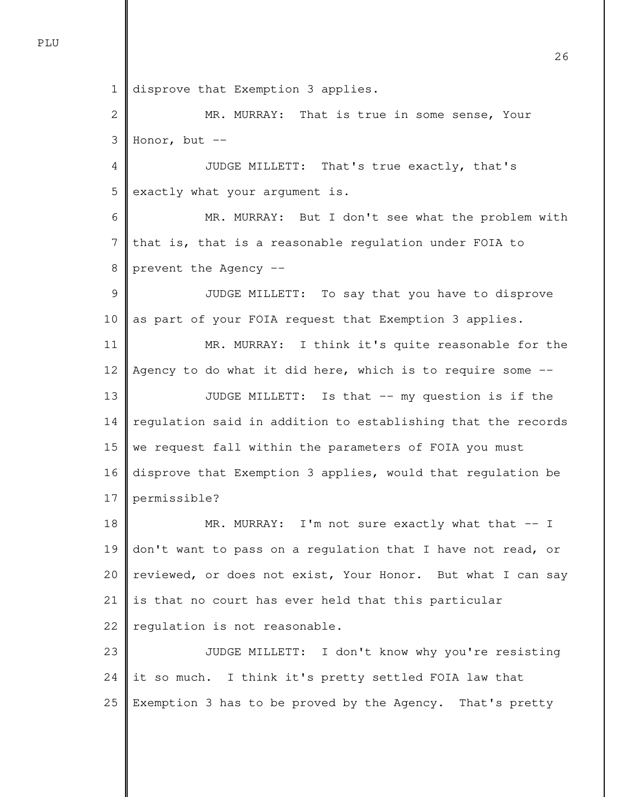1 disprove that Exemption 3 applies.

2 3 MR. MURRAY: That is true in some sense, Your Honor, but  $--$ 

4 5 JUDGE MILLETT: That's true exactly, that's exactly what your argument is.

6 7 8 MR. MURRAY: But I don't see what the problem with that is, that is a reasonable regulation under FOIA to prevent the Agency --

9 10 JUDGE MILLETT: To say that you have to disprove as part of your FOIA request that Exemption 3 applies.

11 12 13 14 15 16 17 MR. MURRAY: I think it's quite reasonable for the Agency to do what it did here, which is to require some -- JUDGE MILLETT: Is that -- my question is if the regulation said in addition to establishing that the records we request fall within the parameters of FOIA you must disprove that Exemption 3 applies, would that regulation be permissible?

18 19 20 21 22 MR. MURRAY: I'm not sure exactly what that -- I don't want to pass on a regulation that I have not read, or reviewed, or does not exist, Your Honor. But what I can say is that no court has ever held that this particular regulation is not reasonable.

23 24 25 JUDGE MILLETT: I don't know why you're resisting it so much. I think it's pretty settled FOIA law that Exemption 3 has to be proved by the Agency. That's pretty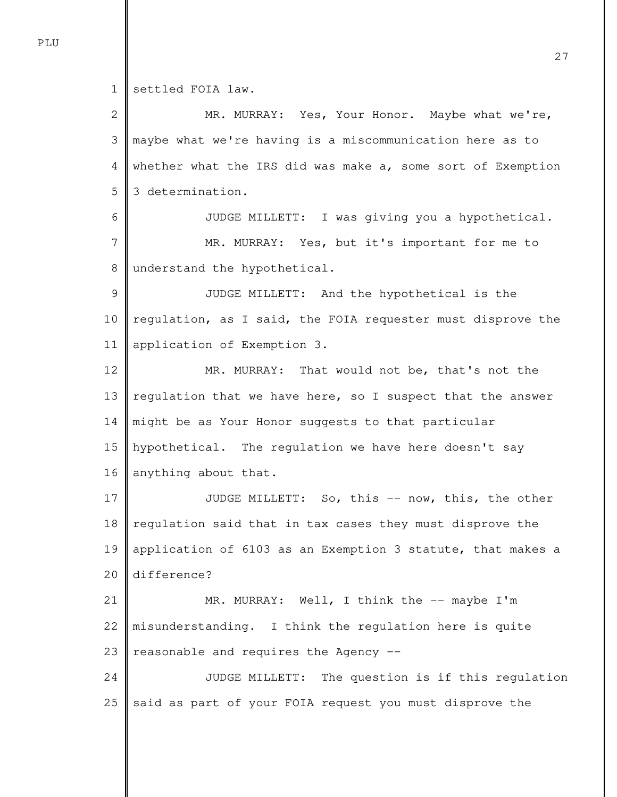1 settled FOIA law.

2 3 4 5 6 7 8 9 10 11 12 13 14 15 16 17 18 19 20 21 22 23 24 25 MR. MURRAY: Yes, Your Honor. Maybe what we're, maybe what we're having is a miscommunication here as to whether what the IRS did was make a, some sort of Exemption 3 determination. JUDGE MILLETT: I was giving you a hypothetical. MR. MURRAY: Yes, but it's important for me to understand the hypothetical. JUDGE MILLETT: And the hypothetical is the regulation, as I said, the FOIA requester must disprove the application of Exemption 3. MR. MURRAY: That would not be, that's not the regulation that we have here, so I suspect that the answer might be as Your Honor suggests to that particular hypothetical. The regulation we have here doesn't say anything about that. JUDGE MILLETT: So, this -- now, this, the other regulation said that in tax cases they must disprove the application of 6103 as an Exemption 3 statute, that makes a difference? MR. MURRAY: Well, I think the -- maybe I'm misunderstanding. I think the regulation here is quite reasonable and requires the Agency -- JUDGE MILLETT: The question is if this regulation said as part of your FOIA request you must disprove the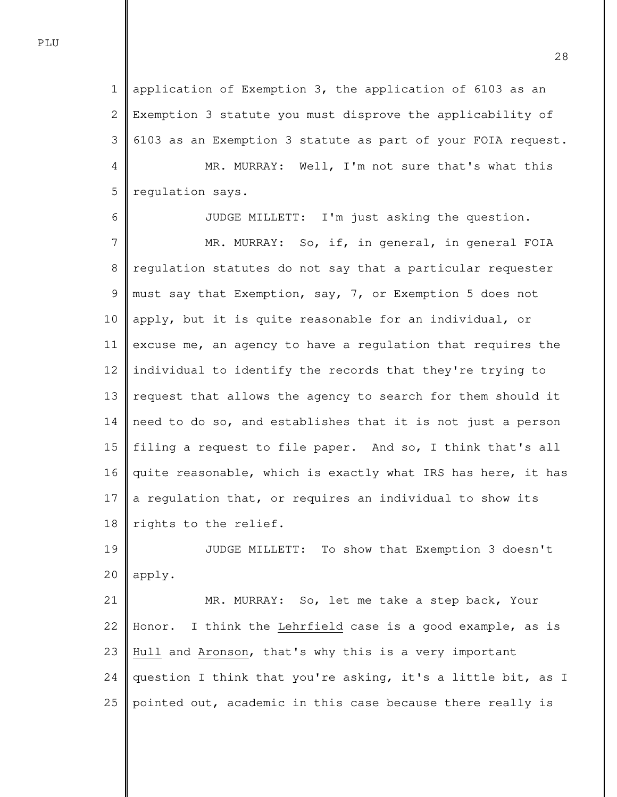1 2 3 4 5 application of Exemption 3, the application of 6103 as an Exemption 3 statute you must disprove the applicability of 6103 as an Exemption 3 statute as part of your FOIA request. MR. MURRAY: Well, I'm not sure that's what this regulation says.

6 7 8 9 10 11 12 13 14 15 16 17 18 JUDGE MILLETT: I'm just asking the question. MR. MURRAY: So, if, in general, in general FOIA regulation statutes do not say that a particular requester must say that Exemption, say, 7, or Exemption 5 does not apply, but it is quite reasonable for an individual, or excuse me, an agency to have a regulation that requires the individual to identify the records that they're trying to request that allows the agency to search for them should it need to do so, and establishes that it is not just a person filing a request to file paper. And so, I think that's all quite reasonable, which is exactly what IRS has here, it has a regulation that, or requires an individual to show its rights to the relief.

19 20 JUDGE MILLETT: To show that Exemption 3 doesn't apply.

21 22 23 24 25 MR. MURRAY: So, let me take a step back, Your Honor. I think the Lehrfield case is a good example, as is Hull and Aronson, that's why this is a very important question I think that you're asking, it's a little bit, as I pointed out, academic in this case because there really is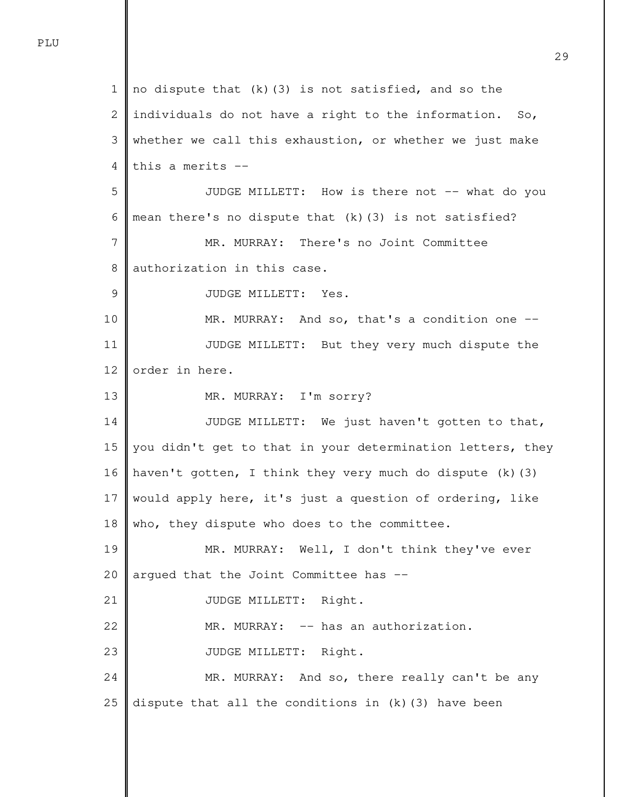1 2 3 4 5 6 7 8 9 10 11 12 13 14 15 16 17 18 19 20 21 22 23 24 25 no dispute that (k)(3) is not satisfied, and so the individuals do not have a right to the information. So, whether we call this exhaustion, or whether we just make this a merits -- JUDGE MILLETT: How is there not -- what do you mean there's no dispute that  $(k)$  (3) is not satisfied? MR. MURRAY: There's no Joint Committee authorization in this case. JUDGE MILLETT: Yes. MR. MURRAY: And so, that's a condition one -- JUDGE MILLETT: But they very much dispute the order in here. MR. MURRAY: I'm sorry? JUDGE MILLETT: We just haven't gotten to that, you didn't get to that in your determination letters, they haven't gotten, I think they very much do dispute (k)(3) would apply here, it's just a question of ordering, like who, they dispute who does to the committee. MR. MURRAY: Well, I don't think they've ever argued that the Joint Committee has -- JUDGE MILLETT: Right. MR. MURRAY: -- has an authorization. JUDGE MILLETT: Right. MR. MURRAY: And so, there really can't be any dispute that all the conditions in (k)(3) have been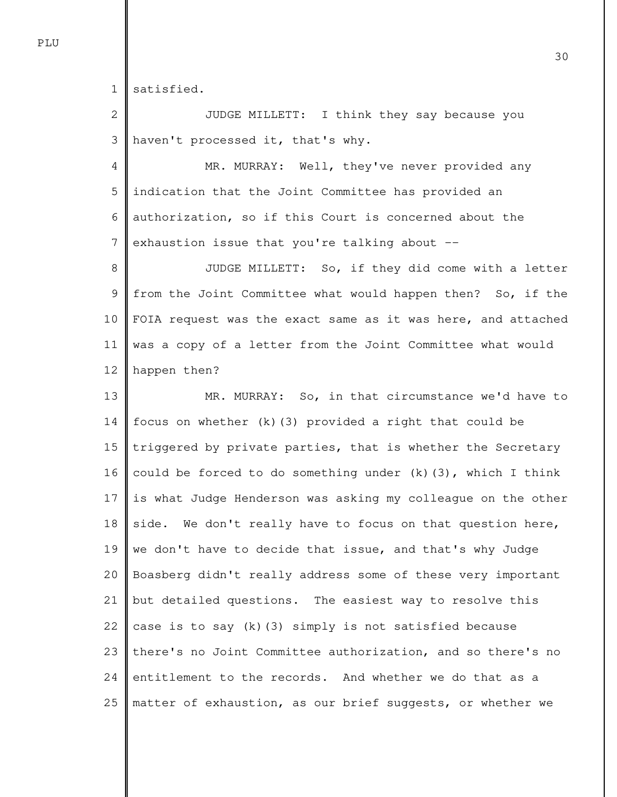1 satisfied.

2 3 JUDGE MILLETT: I think they say because you haven't processed it, that's why.

4 5 6 7 MR. MURRAY: Well, they've never provided any indication that the Joint Committee has provided an authorization, so if this Court is concerned about the exhaustion issue that you're talking about --

8 9 10 11 12 JUDGE MILLETT: So, if they did come with a letter from the Joint Committee what would happen then? So, if the FOIA request was the exact same as it was here, and attached was a copy of a letter from the Joint Committee what would happen then?

13 14 15 16 17 18 19 20 21 22 23 24 25 MR. MURRAY: So, in that circumstance we'd have to focus on whether  $(k)(3)$  provided a right that could be triggered by private parties, that is whether the Secretary could be forced to do something under (k)(3), which I think is what Judge Henderson was asking my colleague on the other side. We don't really have to focus on that question here, we don't have to decide that issue, and that's why Judge Boasberg didn't really address some of these very important but detailed questions. The easiest way to resolve this case is to say  $(k)$  (3) simply is not satisfied because there's no Joint Committee authorization, and so there's no entitlement to the records. And whether we do that as a matter of exhaustion, as our brief suggests, or whether we

PLU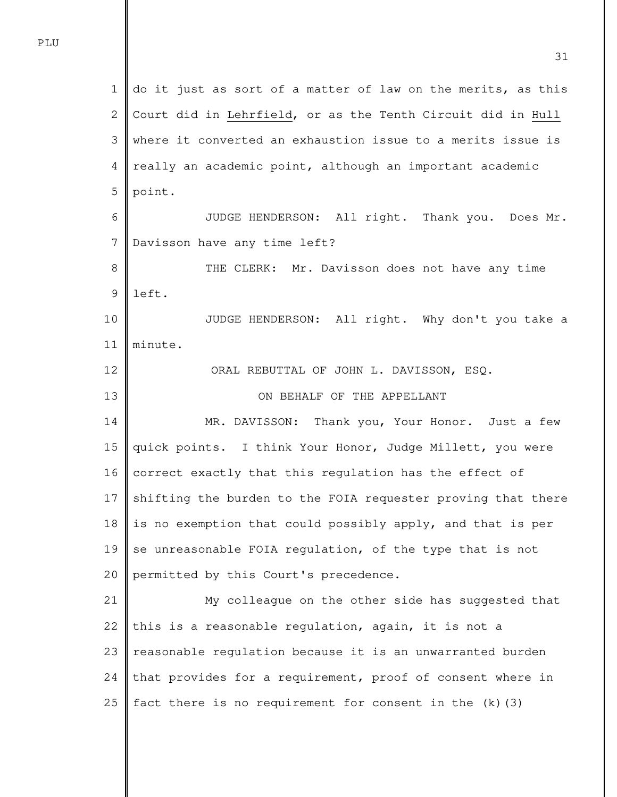1 2 3 4 5 6 7 8 9 10 11 12 13 14 15 16 17 18 19 20 21 22 23 24 25 do it just as sort of a matter of law on the merits, as this Court did in Lehrfield, or as the Tenth Circuit did in Hull where it converted an exhaustion issue to a merits issue is really an academic point, although an important academic point. JUDGE HENDERSON: All right. Thank you. Does Mr. Davisson have any time left? THE CLERK: Mr. Davisson does not have any time left. JUDGE HENDERSON: All right. Why don't you take a minute. ORAL REBUTTAL OF JOHN L. DAVISSON, ESQ. ON BEHALF OF THE APPELLANT MR. DAVISSON: Thank you, Your Honor. Just a few quick points. I think Your Honor, Judge Millett, you were correct exactly that this regulation has the effect of shifting the burden to the FOIA requester proving that there is no exemption that could possibly apply, and that is per se unreasonable FOIA regulation, of the type that is not permitted by this Court's precedence. My colleague on the other side has suggested that this is a reasonable regulation, again, it is not a reasonable regulation because it is an unwarranted burden that provides for a requirement, proof of consent where in fact there is no requirement for consent in the (k)(3)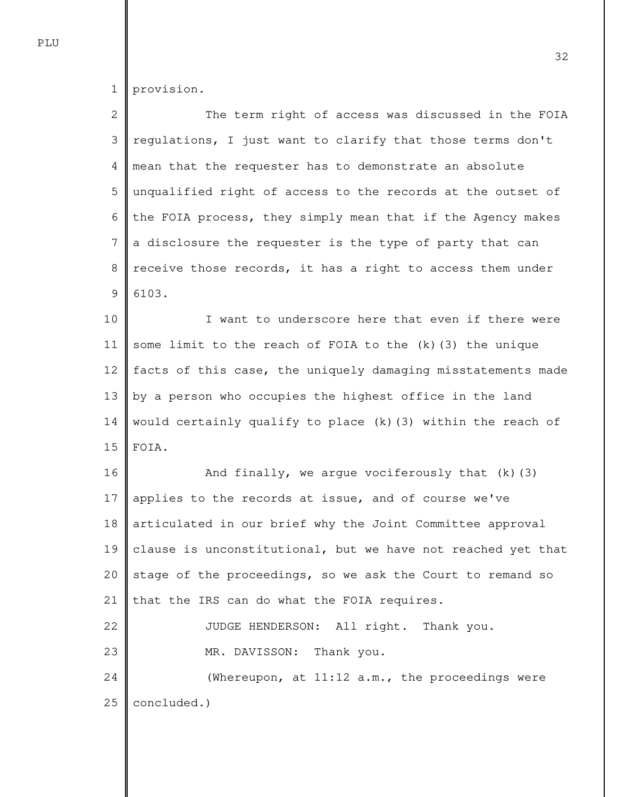1 provision.

2 3 4 5 6 7 8 9 The term right of access was discussed in the FOIA regulations, I just want to clarify that those terms don't mean that the requester has to demonstrate an absolute unqualified right of access to the records at the outset of the FOIA process, they simply mean that if the Agency makes a disclosure the requester is the type of party that can receive those records, it has a right to access them under 6103.

10 11 12 13 14 15 I want to underscore here that even if there were some limit to the reach of FOIA to the (k)(3) the unique facts of this case, the uniquely damaging misstatements made by a person who occupies the highest office in the land would certainly qualify to place  $(k)(3)$  within the reach of FOIA.

16 17 18 19 20 21 22 23 24 25 And finally, we argue vociferously that (k)(3) applies to the records at issue, and of course we've articulated in our brief why the Joint Committee approval clause is unconstitutional, but we have not reached yet that stage of the proceedings, so we ask the Court to remand so that the IRS can do what the FOIA requires. JUDGE HENDERSON: All right. Thank you. MR. DAVISSON: Thank you. (Whereupon, at 11:12 a.m., the proceedings were concluded.)